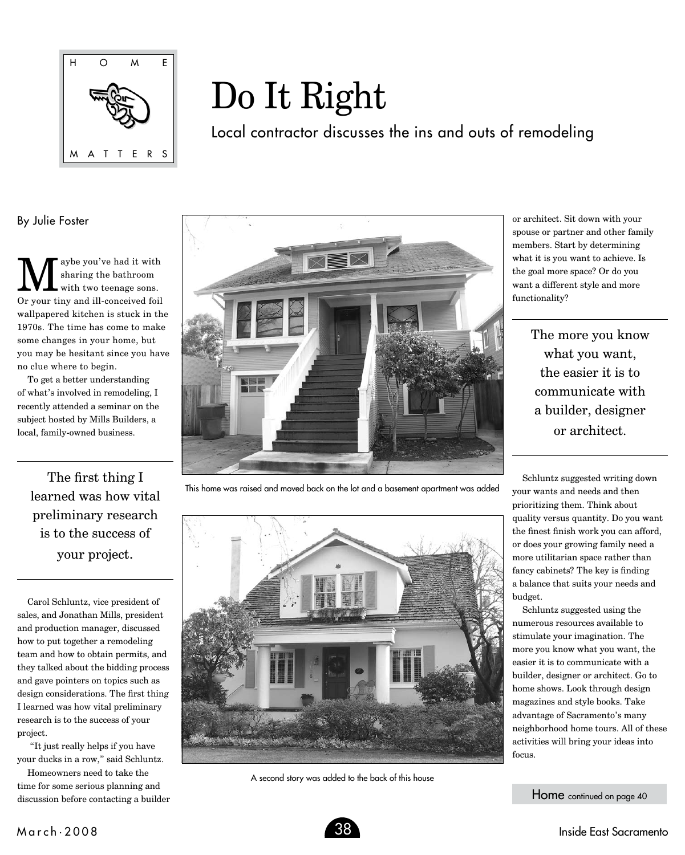

## Do It Right

Local contractor discusses the ins and outs of remodeling

By Julie Foster

We sou've had it with<br>sharing the bathroom<br>and with two teenage sons. sharing the bathroom with two teenage sons. Or your tiny and ill-conceived foil wallpapered kitchen is stuck in the 1970s. The time has come to make some changes in your home, but you may be hesitant since you have no clue where to begin.

To get a better understanding of what's involved in remodeling, I recently attended a seminar on the subject hosted by Mills Builders, a local, family-owned business.

The first thing I learned was how vital preliminary research is to the success of your project.

Carol Schluntz, vice president of sales, and Jonathan Mills, president and production manager, discussed how to put together a remodeling team and how to obtain permits, and they talked about the bidding process and gave pointers on topics such as design considerations. The first thing I learned was how vital preliminary research is to the success of your project.

 "It just really helps if you have your ducks in a row," said Schluntz.

Homeowners need to take the time for some serious planning and discussion before contacting a builder



This home was raised and moved back on the lot and a basement apartment was added



A second story was added to the back of this house

or architect. Sit down with your spouse or partner and other family members. Start by determining what it is you want to achieve. Is the goal more space? Or do you want a different style and more functionality?

> The more you know what you want, the easier it is to communicate with a builder, designer or architect.

Schluntz suggested writing down your wants and needs and then prioritizing them. Think about quality versus quantity. Do you want the finest finish work you can afford, or does your growing family need a more utilitarian space rather than fancy cabinets? The key is finding a balance that suits your needs and budget.

Schluntz suggested using the numerous resources available to stimulate your imagination. The more you know what you want, the easier it is to communicate with a builder, designer or architect. Go to home shows. Look through design magazines and style books. Take advantage of Sacramento's many neighborhood home tours. All of these activities will bring your ideas into focus.

Home continued on page 40

M a r c h • 2 0 0 8 38 Inside East Sacramento